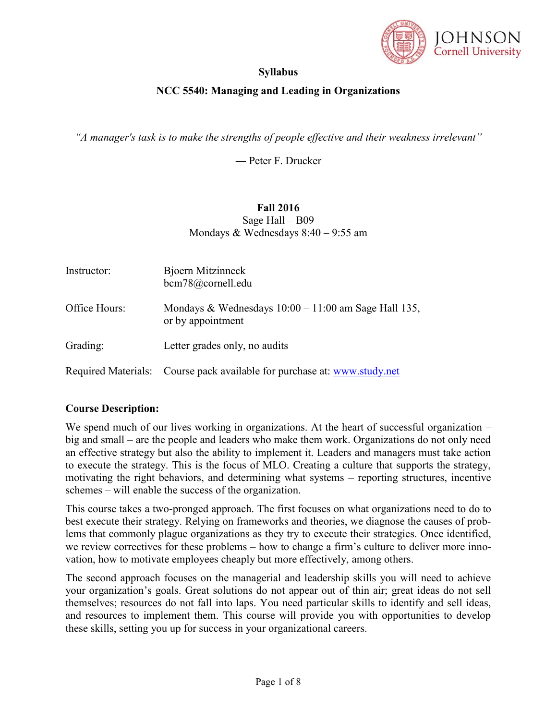

## **Syllabus**

## **NCC 5540: Managing and Leading in Organizations**

*"A manager's task is to make the strengths of people effective and their weakness irrelevant"*

― Peter F. Drucker

#### **Fall 2016** Sage Hall – B09

Mondays & Wednesdays 8:40 – 9:55 am

| Instructor:   | Bjoern Mitzinneck<br>bcm78@cornell.edu                                      |
|---------------|-----------------------------------------------------------------------------|
| Office Hours: | Mondays & Wednesdays $10:00 - 11:00$ am Sage Hall 135,<br>or by appointment |
| Grading:      | Letter grades only, no audits                                               |
|               | Required Materials: Course pack available for purchase at: www.study.net    |

#### **Course Description:**

We spend much of our lives working in organizations. At the heart of successful organization – big and small – are the people and leaders who make them work. Organizations do not only need an effective strategy but also the ability to implement it. Leaders and managers must take action to execute the strategy. This is the focus of MLO. Creating a culture that supports the strategy, motivating the right behaviors, and determining what systems – reporting structures, incentive schemes – will enable the success of the organization.

This course takes a two-pronged approach. The first focuses on what organizations need to do to best execute their strategy. Relying on frameworks and theories, we diagnose the causes of problems that commonly plague organizations as they try to execute their strategies. Once identified, we review correctives for these problems – how to change a firm's culture to deliver more innovation, how to motivate employees cheaply but more effectively, among others.

The second approach focuses on the managerial and leadership skills you will need to achieve your organization's goals. Great solutions do not appear out of thin air; great ideas do not sell themselves; resources do not fall into laps. You need particular skills to identify and sell ideas, and resources to implement them. This course will provide you with opportunities to develop these skills, setting you up for success in your organizational careers.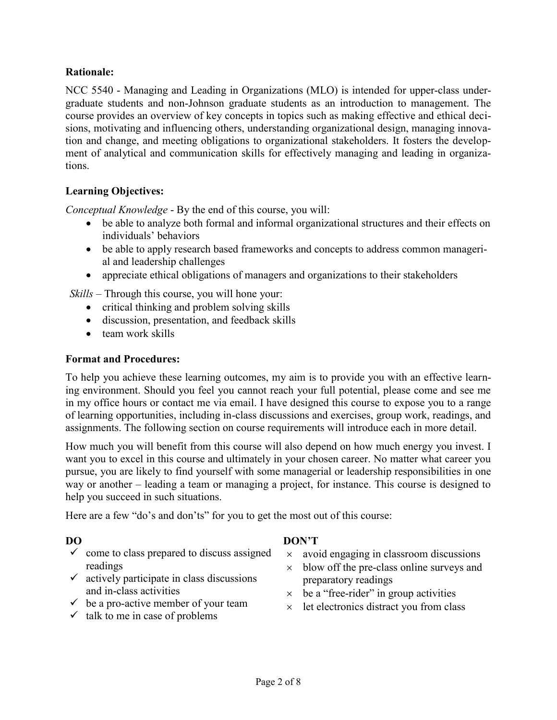### **Rationale:**

NCC 5540 - Managing and Leading in Organizations (MLO) is intended for upper-class undergraduate students and non-Johnson graduate students as an introduction to management. The course provides an overview of key concepts in topics such as making effective and ethical decisions, motivating and influencing others, understanding organizational design, managing innovation and change, and meeting obligations to organizational stakeholders. It fosters the development of analytical and communication skills for effectively managing and leading in organizations.

## **Learning Objectives:**

*Conceptual Knowledge* - By the end of this course, you will:

- be able to analyze both formal and informal organizational structures and their effects on individuals' behaviors
- be able to apply research based frameworks and concepts to address common managerial and leadership challenges
- appreciate ethical obligations of managers and organizations to their stakeholders

*Skills* – Through this course, you will hone your:

- critical thinking and problem solving skills
- discussion, presentation, and feedback skills
- $\bullet$  team work skills

#### **Format and Procedures:**

To help you achieve these learning outcomes, my aim is to provide you with an effective learning environment. Should you feel you cannot reach your full potential, please come and see me in my office hours or contact me via email. I have designed this course to expose you to a range of learning opportunities, including in-class discussions and exercises, group work, readings, and assignments. The following section on course requirements will introduce each in more detail.

How much you will benefit from this course will also depend on how much energy you invest. I want you to excel in this course and ultimately in your chosen career. No matter what career you pursue, you are likely to find yourself with some managerial or leadership responsibilities in one way or another – leading a team or managing a project, for instance. This course is designed to help you succeed in such situations.

Here are a few "do's and don'ts" for you to get the most out of this course:

- $\checkmark$  come to class prepared to discuss assigned readings
- $\checkmark$  actively participate in class discussions and in-class activities
- $\checkmark$  be a pro-active member of your team
- $\times$  talk to me in case of problems

#### **DO DON'T**

- $\times$  avoid engaging in classroom discussions
- $\times$  blow off the pre-class online surveys and preparatory readings
- $\times$  be a "free-rider" in group activities
- $\times$  let electronics distract you from class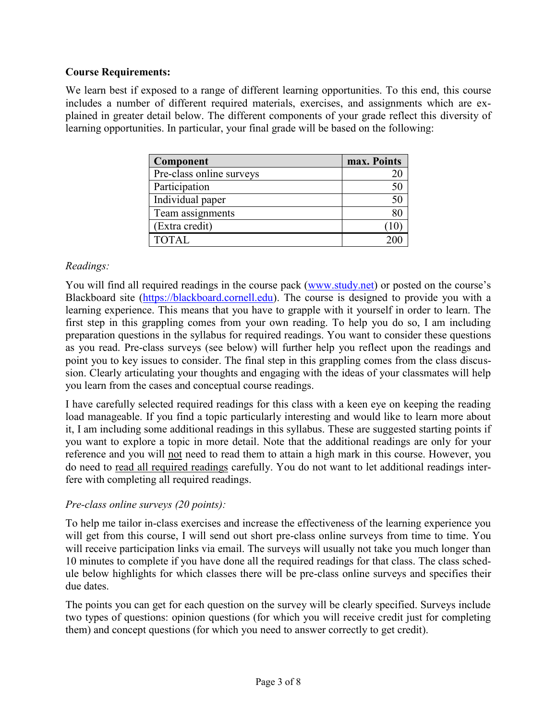#### **Course Requirements:**

We learn best if exposed to a range of different learning opportunities. To this end, this course includes a number of different required materials, exercises, and assignments which are explained in greater detail below. The different components of your grade reflect this diversity of learning opportunities. In particular, your final grade will be based on the following:

| Component                | max. Points |
|--------------------------|-------------|
| Pre-class online surveys |             |
| Participation            |             |
| Individual paper         |             |
| Team assignments         |             |
| (Extra credit)           |             |
| TOTAL.                   |             |

## *Readings:*

You will find all required readings in the course pack [\(www.study.net\)](http://www.study.net/) or posted on the course's Blackboard site [\(https://blackboard.cornell.edu\)](https://blackboard.cornell.edu/). The course is designed to provide you with a learning experience. This means that you have to grapple with it yourself in order to learn. The first step in this grappling comes from your own reading. To help you do so, I am including preparation questions in the syllabus for required readings. You want to consider these questions as you read. Pre-class surveys (see below) will further help you reflect upon the readings and point you to key issues to consider. The final step in this grappling comes from the class discussion. Clearly articulating your thoughts and engaging with the ideas of your classmates will help you learn from the cases and conceptual course readings.

I have carefully selected required readings for this class with a keen eye on keeping the reading load manageable. If you find a topic particularly interesting and would like to learn more about it, I am including some additional readings in this syllabus. These are suggested starting points if you want to explore a topic in more detail. Note that the additional readings are only for your reference and you will not need to read them to attain a high mark in this course. However, you do need to read all required readings carefully. You do not want to let additional readings interfere with completing all required readings.

#### *Pre-class online surveys (20 points):*

To help me tailor in-class exercises and increase the effectiveness of the learning experience you will get from this course, I will send out short pre-class online surveys from time to time. You will receive participation links via email. The surveys will usually not take you much longer than 10 minutes to complete if you have done all the required readings for that class. The class schedule below highlights for which classes there will be pre-class online surveys and specifies their due dates.

The points you can get for each question on the survey will be clearly specified. Surveys include two types of questions: opinion questions (for which you will receive credit just for completing them) and concept questions (for which you need to answer correctly to get credit).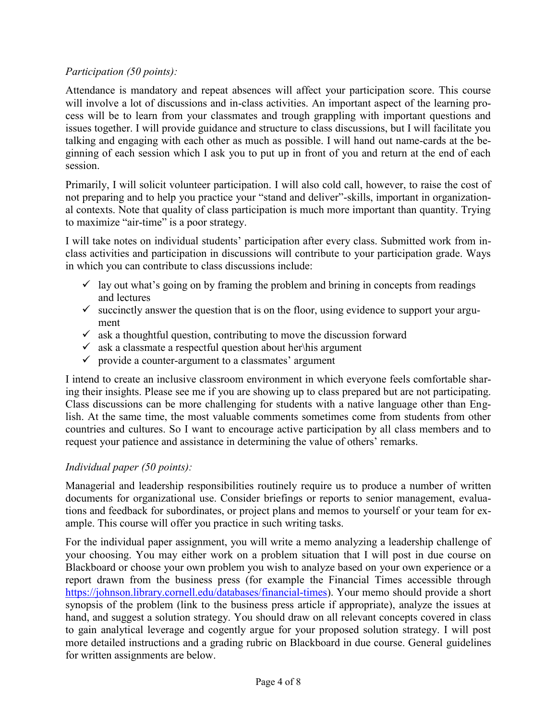### *Participation (50 points):*

Attendance is mandatory and repeat absences will affect your participation score. This course will involve a lot of discussions and in-class activities. An important aspect of the learning process will be to learn from your classmates and trough grappling with important questions and issues together. I will provide guidance and structure to class discussions, but I will facilitate you talking and engaging with each other as much as possible. I will hand out name-cards at the beginning of each session which I ask you to put up in front of you and return at the end of each session.

Primarily, I will solicit volunteer participation. I will also cold call, however, to raise the cost of not preparing and to help you practice your "stand and deliver"-skills, important in organizational contexts. Note that quality of class participation is much more important than quantity. Trying to maximize "air-time" is a poor strategy.

I will take notes on individual students' participation after every class. Submitted work from inclass activities and participation in discussions will contribute to your participation grade. Ways in which you can contribute to class discussions include:

- $\checkmark$  lay out what's going on by framing the problem and brining in concepts from readings and lectures
- $\checkmark$  succinctly answer the question that is on the floor, using evidence to support your argument
- $\checkmark$  ask a thoughtful question, contributing to move the discussion forward
- $\checkmark$  ask a classmate a respectful question about her $\checkmark$  his argument
- $\checkmark$  provide a counter-argument to a classmates' argument

I intend to create an inclusive classroom environment in which everyone feels comfortable sharing their insights. Please see me if you are showing up to class prepared but are not participating. Class discussions can be more challenging for students with a native language other than English. At the same time, the most valuable comments sometimes come from students from other countries and cultures. So I want to encourage active participation by all class members and to request your patience and assistance in determining the value of others' remarks.

# *Individual paper (50 points):*

Managerial and leadership responsibilities routinely require us to produce a number of written documents for organizational use. Consider briefings or reports to senior management, evaluations and feedback for subordinates, or project plans and memos to yourself or your team for example. This course will offer you practice in such writing tasks.

For the individual paper assignment, you will write a memo analyzing a leadership challenge of your choosing. You may either work on a problem situation that I will post in due course on Blackboard or choose your own problem you wish to analyze based on your own experience or a report drawn from the business press (for example the Financial Times accessible through [https://johnson.library.cornell.edu/databases/financial-times\)](https://johnson.library.cornell.edu/databases/financial-times). Your memo should provide a short synopsis of the problem (link to the business press article if appropriate), analyze the issues at hand, and suggest a solution strategy. You should draw on all relevant concepts covered in class to gain analytical leverage and cogently argue for your proposed solution strategy. I will post more detailed instructions and a grading rubric on Blackboard in due course. General guidelines for written assignments are below.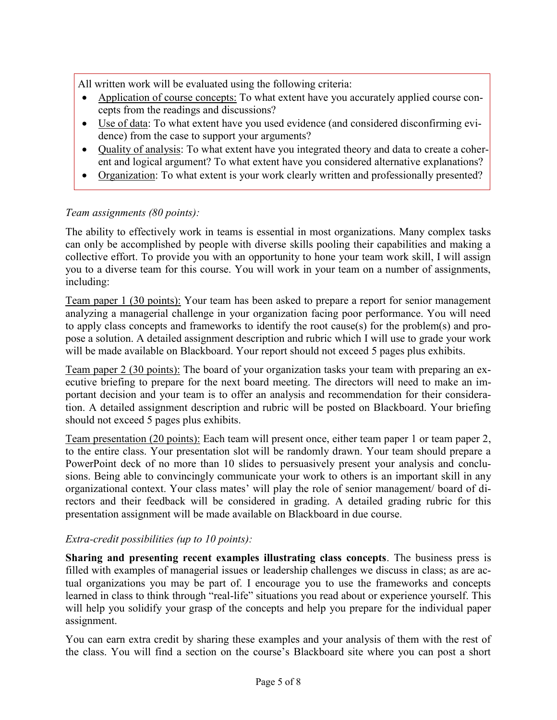All written work will be evaluated using the following criteria:

- Application of course concepts: To what extent have you accurately applied course concepts from the readings and discussions?
- Use of data: To what extent have you used evidence (and considered disconfirming evidence) from the case to support your arguments?
- Quality of analysis: To what extent have you integrated theory and data to create a coherent and logical argument? To what extent have you considered alternative explanations?
- Organization: To what extent is your work clearly written and professionally presented?

## *Team assignments (80 points):*

The ability to effectively work in teams is essential in most organizations. Many complex tasks can only be accomplished by people with diverse skills pooling their capabilities and making a collective effort. To provide you with an opportunity to hone your team work skill, I will assign you to a diverse team for this course. You will work in your team on a number of assignments, including:

Team paper 1 (30 points): Your team has been asked to prepare a report for senior management analyzing a managerial challenge in your organization facing poor performance. You will need to apply class concepts and frameworks to identify the root cause(s) for the problem(s) and propose a solution. A detailed assignment description and rubric which I will use to grade your work will be made available on Blackboard. Your report should not exceed 5 pages plus exhibits.

Team paper 2 (30 points): The board of your organization tasks your team with preparing an executive briefing to prepare for the next board meeting. The directors will need to make an important decision and your team is to offer an analysis and recommendation for their consideration. A detailed assignment description and rubric will be posted on Blackboard. Your briefing should not exceed 5 pages plus exhibits.

Team presentation (20 points): Each team will present once, either team paper 1 or team paper 2, to the entire class. Your presentation slot will be randomly drawn. Your team should prepare a PowerPoint deck of no more than 10 slides to persuasively present your analysis and conclusions. Being able to convincingly communicate your work to others is an important skill in any organizational context. Your class mates' will play the role of senior management/ board of directors and their feedback will be considered in grading. A detailed grading rubric for this presentation assignment will be made available on Blackboard in due course.

#### *Extra-credit possibilities (up to 10 points):*

**Sharing and presenting recent examples illustrating class concepts**. The business press is filled with examples of managerial issues or leadership challenges we discuss in class; as are actual organizations you may be part of. I encourage you to use the frameworks and concepts learned in class to think through "real-life" situations you read about or experience yourself. This will help you solidify your grasp of the concepts and help you prepare for the individual paper assignment.

You can earn extra credit by sharing these examples and your analysis of them with the rest of the class. You will find a section on the course's Blackboard site where you can post a short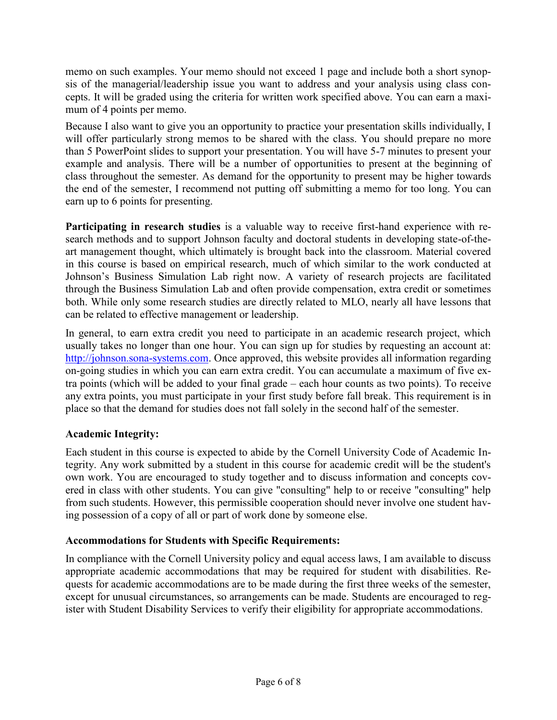memo on such examples. Your memo should not exceed 1 page and include both a short synopsis of the managerial/leadership issue you want to address and your analysis using class concepts. It will be graded using the criteria for written work specified above. You can earn a maximum of 4 points per memo.

Because I also want to give you an opportunity to practice your presentation skills individually, I will offer particularly strong memos to be shared with the class. You should prepare no more than 5 PowerPoint slides to support your presentation. You will have 5-7 minutes to present your example and analysis. There will be a number of opportunities to present at the beginning of class throughout the semester. As demand for the opportunity to present may be higher towards the end of the semester, I recommend not putting off submitting a memo for too long. You can earn up to 6 points for presenting.

**Participating in research studies** is a valuable way to receive first-hand experience with research methods and to support Johnson faculty and doctoral students in developing state-of-theart management thought, which ultimately is brought back into the classroom. Material covered in this course is based on empirical research, much of which similar to the work conducted at Johnson's Business Simulation Lab right now. A variety of research projects are facilitated through the Business Simulation Lab and often provide compensation, extra credit or sometimes both. While only some research studies are directly related to MLO, nearly all have lessons that can be related to effective management or leadership.

In general, to earn extra credit you need to participate in an academic research project, which usually takes no longer than one hour. You can sign up for studies by requesting an account at: [http://johnson.sona-systems.com.](http://johnson.sona-systems.com/) Once approved, this website provides all information regarding on-going studies in which you can earn extra credit. You can accumulate a maximum of five extra points (which will be added to your final grade – each hour counts as two points). To receive any extra points, you must participate in your first study before fall break. This requirement is in place so that the demand for studies does not fall solely in the second half of the semester.

# **Academic Integrity:**

Each student in this course is expected to abide by the Cornell University Code of Academic Integrity. Any work submitted by a student in this course for academic credit will be the student's own work. You are encouraged to study together and to discuss information and concepts covered in class with other students. You can give "consulting" help to or receive "consulting" help from such students. However, this permissible cooperation should never involve one student having possession of a copy of all or part of work done by someone else.

#### **Accommodations for Students with Specific Requirements:**

In compliance with the Cornell University policy and equal access laws, I am available to discuss appropriate academic accommodations that may be required for student with disabilities. Requests for academic accommodations are to be made during the first three weeks of the semester, except for unusual circumstances, so arrangements can be made. Students are encouraged to register with Student Disability Services to verify their eligibility for appropriate accommodations.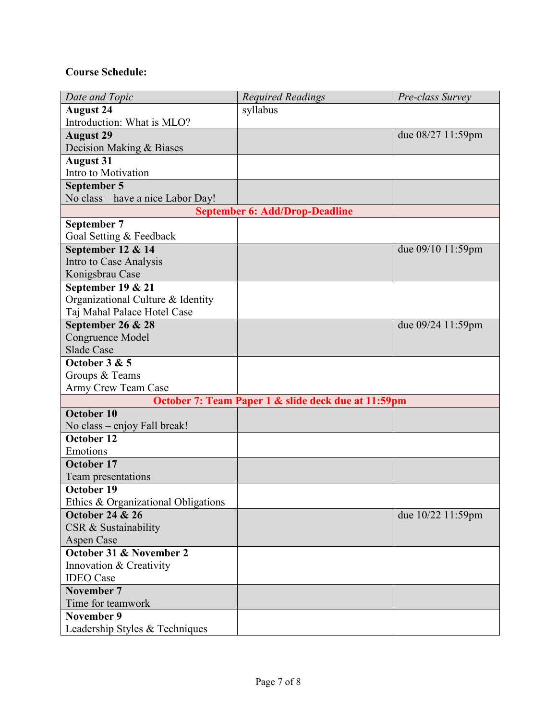# **Course Schedule:**

| Date and Topic                      | <b>Required Readings</b>                            | Pre-class Survey  |
|-------------------------------------|-----------------------------------------------------|-------------------|
| <b>August 24</b>                    | syllabus                                            |                   |
| Introduction: What is MLO?          |                                                     |                   |
| <b>August 29</b>                    |                                                     | due 08/27 11:59pm |
| Decision Making & Biases            |                                                     |                   |
| <b>August 31</b>                    |                                                     |                   |
| Intro to Motivation                 |                                                     |                   |
| September 5                         |                                                     |                   |
| No class – have a nice Labor Day!   |                                                     |                   |
|                                     | <b>September 6: Add/Drop-Deadline</b>               |                   |
| September 7                         |                                                     |                   |
| Goal Setting & Feedback             |                                                     |                   |
| September 12 & 14                   |                                                     | due 09/10 11:59pm |
| Intro to Case Analysis              |                                                     |                   |
| Konigsbrau Case                     |                                                     |                   |
| September 19 & 21                   |                                                     |                   |
| Organizational Culture & Identity   |                                                     |                   |
| Taj Mahal Palace Hotel Case         |                                                     |                   |
| September 26 & 28                   |                                                     | due 09/24 11:59pm |
| Congruence Model                    |                                                     |                   |
| <b>Slade Case</b>                   |                                                     |                   |
| October 3 & 5                       |                                                     |                   |
| Groups & Teams                      |                                                     |                   |
| Army Crew Team Case                 | October 7: Team Paper 1 & slide deck due at 11:59pm |                   |
| October 10                          |                                                     |                   |
| No class – enjoy Fall break!        |                                                     |                   |
| October 12                          |                                                     |                   |
| Emotions                            |                                                     |                   |
| October 17                          |                                                     |                   |
| Team presentations                  |                                                     |                   |
| October 19                          |                                                     |                   |
| Ethics & Organizational Obligations |                                                     |                   |
| <b>October 24 &amp; 26</b>          |                                                     | due 10/22 11:59pm |
| CSR & Sustainability                |                                                     |                   |
| Aspen Case                          |                                                     |                   |
| October 31 & November 2             |                                                     |                   |
| Innovation & Creativity             |                                                     |                   |
| <b>IDEO</b> Case                    |                                                     |                   |
| November 7                          |                                                     |                   |
| Time for teamwork                   |                                                     |                   |
| <b>November 9</b>                   |                                                     |                   |
| Leadership Styles & Techniques      |                                                     |                   |